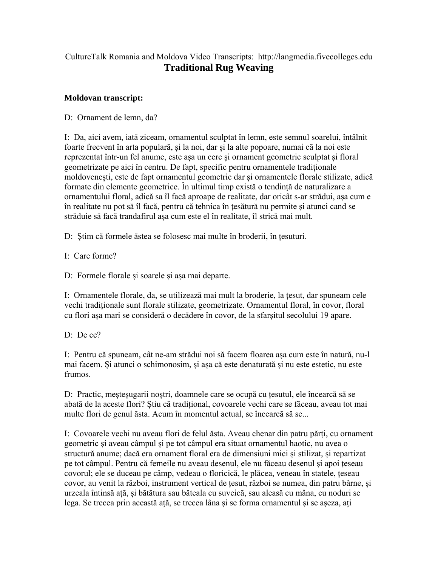## CultureTalk Romania and Moldova Video Transcripts: http://langmedia.fivecolleges.edu **Traditional Rug Weaving**

## **Moldovan transcript:**

D: Ornament de lemn, da?

I: Da, aici avem, iată ziceam, ornamentul sculptat în lemn, este semnul soarelui, întâlnit foarte frecvent în arta populară, și la noi, dar și la alte popoare, numai că la noi este reprezentat într-un fel anume, este așa un cerc și ornament geometric sculptat și floral geometrizate pe aici în centru. De fapt, specific pentru ornamentele tradiționale moldovenești, este de fapt ornamentul geometric dar și ornamentele florale stilizate, adică formate din elemente geometrice. În ultimul timp există o tendință de naturalizare a ornamentului floral, adică sa îl facă aproape de realitate, dar oricât s-ar strădui, așa cum e în realitate nu pot să îl facă, pentru că tehnica în țesătură nu permite și atunci cand se străduie să facă trandafirul așa cum este el în realitate, îl strică mai mult.

D: Știm că formele ăstea se folosesc mai multe în broderii, în țesuturi.

I: Care forme?

D: Formele florale și soarele și așa mai departe.

I: Ornamentele florale, da, se utilizează mai mult la broderie, la țesut, dar spuneam cele vechi tradiționale sunt florale stilizate, geometrizate. Ornamentul floral, în covor, floral cu flori așa mari se consideră o decădere în covor, de la sfarșitul secolului 19 apare.

D: De ce?

I: Pentru că spuneam, cât ne-am strădui noi să facem floarea așa cum este în natură, nu-l mai facem. Și atunci o schimonosim, și așa că este denaturată și nu este estetic, nu este frumos.

D: Practic, meșteșugarii noștri, doamnele care se ocupă cu țesutul, ele încearcă să se abată de la aceste flori? Știu că tradițional, covoarele vechi care se făceau, aveau tot mai multe flori de genul ăsta. Acum în momentul actual, se încearcă să se...

I: Covoarele vechi nu aveau flori de felul ăsta. Aveau chenar din patru părți, cu ornament geometric și aveau câmpul și pe tot câmpul era situat ornamentul haotic, nu avea o structură anume; dacă era ornament floral era de dimensiuni mici și stilizat, și repartizat pe tot câmpul. Pentru că femeile nu aveau desenul, ele nu făceau desenul și apoi țeseau covorul; ele se duceau pe câmp, vedeau o floricică, le plăcea, veneau în statele, țeseau covor, au venit la război, instrument vertical de țesut, război se numea, din patru bârne, și urzeala întinsă ață, și bătătura sau băteala cu suveică, sau aleasă cu mâna, cu noduri se lega. Se trecea prin această ață, se trecea lâna și se forma ornamentul și se așeza, ați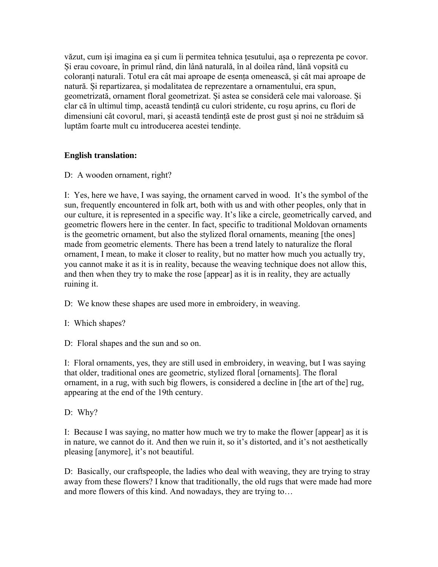văzut, cum iși imagina ea și cum îi permitea tehnica țesutului, așa o reprezenta pe covor. Și erau covoare, în primul rând, din lână naturală, în al doilea rând, lână vopsită cu coloranți naturali. Totul era cât mai aproape de esența omenească, și cât mai aproape de natură. Și repartizarea, și modalitatea de reprezentare a ornamentului, era spun, geometrizată, ornament floral geometrizat. Și astea se consideră cele mai valoroase. Și clar că în ultimul timp, această tendință cu culori stridente, cu roșu aprins, cu flori de dimensiuni cât covorul, mari, și această tendință este de prost gust și noi ne străduim să luptăm foarte mult cu introducerea acestei tendințe.

## **English translation:**

D: A wooden ornament, right?

I: Yes, here we have, I was saying, the ornament carved in wood. It's the symbol of the sun, frequently encountered in folk art, both with us and with other peoples, only that in our culture, it is represented in a specific way. It's like a circle, geometrically carved, and geometric flowers here in the center. In fact, specific to traditional Moldovan ornaments is the geometric ornament, but also the stylized floral ornaments, meaning [the ones] made from geometric elements. There has been a trend lately to naturalize the floral ornament, I mean, to make it closer to reality, but no matter how much you actually try, you cannot make it as it is in reality, because the weaving technique does not allow this, and then when they try to make the rose [appear] as it is in reality, they are actually ruining it.

D: We know these shapes are used more in embroidery, in weaving.

I: Which shapes?

D: Floral shapes and the sun and so on.

I: Floral ornaments, yes, they are still used in embroidery, in weaving, but I was saying that older, traditional ones are geometric, stylized floral [ornaments]. The floral ornament, in a rug, with such big flowers, is considered a decline in [the art of the] rug, appearing at the end of the 19th century.

D: Why?

I: Because I was saying, no matter how much we try to make the flower [appear] as it is in nature, we cannot do it. And then we ruin it, so it's distorted, and it's not aesthetically pleasing [anymore], it's not beautiful.

D: Basically, our craftspeople, the ladies who deal with weaving, they are trying to stray away from these flowers? I know that traditionally, the old rugs that were made had more and more flowers of this kind. And nowadays, they are trying to…